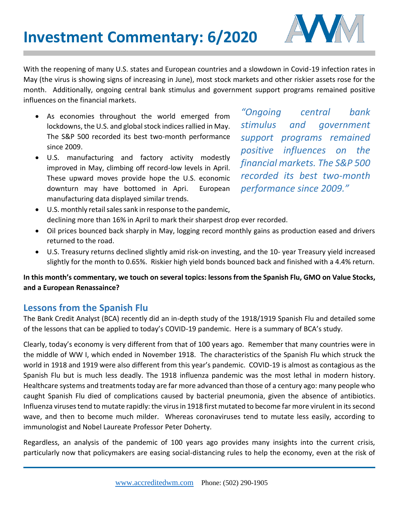

With the reopening of many U.S. states and European countries and a slowdown in Covid-19 infection rates in May (the virus is showing signs of increasing in June), most stock markets and other riskier assets rose for the month. Additionally, ongoing central bank stimulus and government support programs remained positive influences on the financial markets.

- As economies throughout the world emerged from lockdowns, the U.S. and global stock indices rallied in May. The S&P 500 recorded its best two-month performance since 2009.
- U.S. manufacturing and factory activity modestly improved in May, climbing off record-low levels in April. These upward moves provide hope the U.S. economic downturn may have bottomed in Apri. European manufacturing data displayed similar trends.

*"Ongoing central bank stimulus and government support programs remained positive influences on the financial markets. The S&P 500 recorded its best two-month performance since 2009."* 

- U.S. monthly retail sales sank in response to the pandemic, declining more than 16% in April to mark their sharpest drop ever recorded.
- Oil prices bounced back sharply in May, logging record monthly gains as production eased and drivers returned to the road.
- U.S. Treasury returns declined slightly amid risk-on investing, and the 10- year Treasury yield increased slightly for the month to 0.65%. Riskier high yield bonds bounced back and finished with a 4.4% return.

**In this month's commentary, we touch on several topics: lessons from the Spanish Flu, GMO on Value Stocks, and a European Renassaince?**

# **Lessons from the Spanish Flu**

The Bank Credit Analyst (BCA) recently did an in-depth study of the 1918/1919 Spanish Flu and detailed some of the lessons that can be applied to today's COVID-19 pandemic. Here is a summary of BCA's study.

Clearly, today's economy is very different from that of 100 years ago. Remember that many countries were in the middle of WW I, which ended in November 1918. The characteristics of the Spanish Flu which struck the world in 1918 and 1919 were also different from this year's pandemic. COVID-19 is almost as contagious as the Spanish Flu but is much less deadly. The 1918 influenza pandemic was the most lethal in modern history. Healthcare systems and treatments today are far more advanced than those of a century ago: many people who caught Spanish Flu died of complications caused by bacterial pneumonia, given the absence of antibiotics. Influenza viruses tend to mutate rapidly: the virus in 1918 first mutated to become far more virulent in its second wave, and then to become much milder. Whereas coronaviruses tend to mutate less easily, according to immunologist and Nobel Laureate Professor Peter Doherty.

Regardless, an analysis of the pandemic of 100 years ago provides many insights into the current crisis, particularly now that policymakers are easing social-distancing rules to help the economy, even at the risk of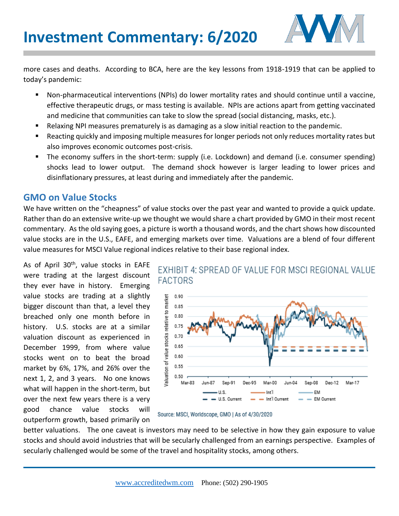

more cases and deaths. According to BCA, here are the key lessons from 1918-1919 that can be applied to today's pandemic:

- Non-pharmaceutical interventions (NPIs) do lower mortality rates and should continue until a vaccine, effective therapeutic drugs, or mass testing is available. NPIs are actions apart from getting vaccinated and medicine that communities can take to slow the spread (social distancing, masks, etc.).
- Relaxing NPI measures prematurely is as damaging as a slow initial reaction to the pandemic.
- Reacting quickly and imposing multiple measures for longer periods not only reduces mortality rates but also improves economic outcomes post-crisis.
- The economy suffers in the short-term: supply (i.e. Lockdown) and demand (i.e. consumer spending) shocks lead to lower output. The demand shock however is larger leading to lower prices and disinflationary pressures, at least during and immediately after the pandemic.

## **GMO on Value Stocks**

We have written on the "cheapness" of value stocks over the past year and wanted to provide a quick update. Rather than do an extensive write-up we thought we would share a chart provided by GMO in their most recent commentary. As the old saying goes, a picture is worth a thousand words, and the chart shows how discounted value stocks are in the U.S., EAFE, and emerging markets over time. Valuations are a blend of four different value measures for MSCI Value regional indices relative to their base regional index.

As of April 30<sup>th</sup>, value stocks in EAFE were trading at the largest discount they ever have in history. Emerging value stocks are trading at a slightly bigger discount than that, a level they breached only one month before in history. U.S. stocks are at a similar valuation discount as experienced in December 1999, from where value stocks went on to beat the broad market by 6%, 17%, and 26% over the next 1, 2, and 3 years. No one knows what will happen in the short-term, but over the next few years there is a very good chance value stocks will outperform growth, based primarily on





Source: MSCI, Worldscope, GMO | As of 4/30/2020

better valuations. The one caveat is investors may need to be selective in how they gain exposure to value stocks and should avoid industries that will be secularly challenged from an earnings perspective. Examples of secularly challenged would be some of the travel and hospitality stocks, among others.